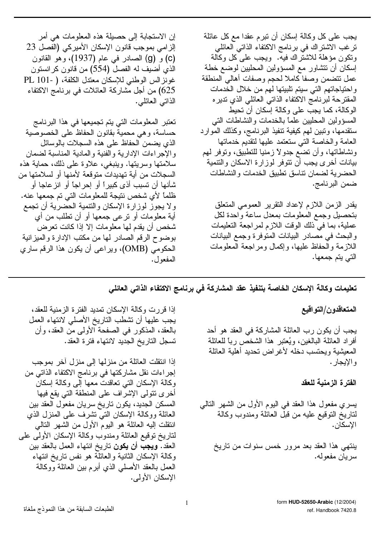إن الاستجابة إلى حصيلة هذه المعلومات هي أمر الزامي بموجب قانون الإسكان الأميركي (الفصل 23 (c) و (g) الصادر في عام (1937)، وهو القانون الذي أضبف له الفصل (554) من قانون كرانستون غونزالس الوطني للإسكان معتدل الكلفة، ( -101 PL 625) من أجل مشاركة العائلات في برنامج الاكتفاء الذاتسي العائلبي.

تعتبر المعلومات التي يتم تجميعها في هذا البرنامج حساسة، وهي محمية بقانون الحفاظ على الخصوصية الذي يضمن الحفاظ على هذه السجلات بالوسائل والإجراءات الإدارية والفنية والمادية المناسبة لضمان سلامتها وسريتها. وينبغي، علاوة على ذلك، حماية هذه السجلات من أية تهديدات متوقعة لأمنها أو لسلامتها من شأنها أن نسبب أذى كبيراً أو إحراجاً أو انز عاجا أو ظلماً لأي شخص نتيجة للمعلومات التي تم جمعها عنه. ولا يجوز لوزارة الإسكان والنتمية الحضرية أن تجمع أية معلومات أو نرعي جمعها أو أن نطلب من أي شخص أن يقدم لمها معلومات إلا إذا كانت تعرض بوضوح الرقم الصادر لمها من مكتب الإدارة والمبزانية الحكومي (OMB)، ويراعى أن يكون هذا الرقم ساري المفعو ل.

يجب على كل وكالة إسكان أن نبرم عقدا مع كل عائلة ترغب الاشتراك في برنامج الاكتفاء الذاتي العائلي ونكون مؤهلة للاشتراك فيه. ويجب على كل وكالة إسكان أن نتشاور مع المسؤولين المحليين لوضع خطة عمل نتضمن وصفا كاملا لحجم وصفات أهاليي المنطقة واحتياجاتهم التي سيتم تلبيتها لمهم من خلال الخدمات المقترحة لبرنامج الاكتفاء الذاتى العائلي الذي نديره الوكالة، كما يجب على وكالة إسكان أن تحيط المسؤولين المحليين علما بالخدمات والنشاطات التبي سنقدمها، ونبين لمهم كيفية نتفيذ البرنامج، وكذلك الموارد العامة والخاصة التي ستعتمد عليها لتقديم خدماتها ونشاطاتها، وأن نضع جدولاً زمنيا للنطبيق، ونوفر لهم بيانات أخرى يجب أن نتوفر لوزارة الاسكان والتنمية الحضرية لضمان نناسق نطبيق الخدمات والنشاطات ضمن البرنامج.

يقدر الزمن اللازم لإعداد النقرير العمومي المتعلق بتحصبل وجمع المعلومات بمعدل ساعة واحدة لكل عملية، بما في ذلك الوقت اللازم لمراجعة التعليمات والبحث في مصادر البيانات المنوفرة وجمع البيانات اللازمة والحفاظ عليها، وإكمال ومراجعة المعلومات التي يتم جمعها.

تعليمات وكالة الإسكان الخاصة بتنفيذ عقد المشاركة في برنامج الاكتفاء الذاتي العائلي

المتعاقدون/التواقيع

يجب أن يكون رب العائلة المشاركة في العقد هو أحد أفراد العائلة البالغين، ويُعتبر هذا الشخص رباً للعائلة المعيشية ويحتسب دخله لأغر اض نحديد أهلية العائلة و الإيجار .

الفترة الزمنية للعقد

يسري مفعول هذا العقد في اليوم الأول من الشهر النالي لناريخ النوقيع عليه من قبل العائلة ومندوب وكالة الإسكان.

ينتهي هذا العقد بعد مرور خمس سنوات من ناريخ سر بان مفعوله.

إذا قررت وكالة الإسكان تمديد الفترة الزمنية للعقد، يجب عليها أن تشطب التاريخ الأصلي لانتهاء العمل بالعقد، المذكور في الصفحة الأولى من العقد، وأن نسجل الناريخ الجديد لانتهاء فترة العقد.

إذا انتقلت العائلة من منزلها إلى منزل أخر بموجب إجراءات نقل مشاركتها في برنامج الاكتفاء الذاتي من وكالة الإسكان التبي نعاقدت معها آلبي وكالة إسكان أخرى نتولى الإشراف على المنطقة التي يقع فيها المسكن الجديد، يكون ناريخ سريان مفعول العقد بين العائلة ووكالة الإسكان النبي نشرف على المنزل الذي انتقلت إليه العائلة هو اليوم الأول من الشهر النالي لناريخ نوقيع العائلة ومندوب وكالة الإسكان الأولىي على العقد. **ويجب** أن يكون ناريخ انتهاء العمل بالعقد بين وكالة الإسكان الثانية والعائلة هو نفس ناريخ انتهاء العمل بالعقد الأصلبي الذي أبرم ببين العائلة ووكالة الإسكان الأولى.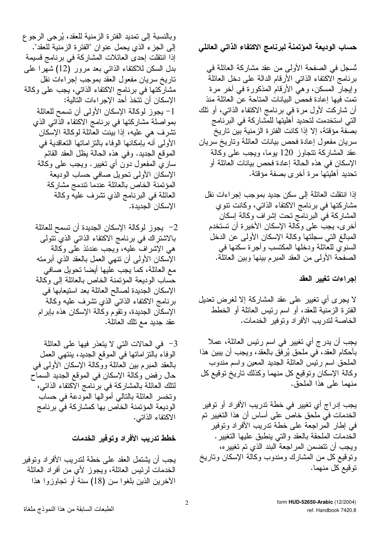وبالنسبة إلى تمديد الفترة الزمنية للعقد، يُرجى الرجوع إلى الجزء الذي يحمل عنوان "الفترة الزمنية للعقد". إذا انتقلت إحدى العائلات المشاركة في برنامج قسيمة بدل السكن للاكتفاء الذاتى بعد مرور (12) شهرا على ناريخ سريان مفعول العقد بموجب إجراءات نقل مشاركتها في برنامج الاكتفاء الذاتي، يجب على وكالة الإسكان أن نتخذ أحد الإجراءات التالية: 1– يجوز لوكالة الإسكان الأولى أن تسمح للعائلة بمواصلة مشاركتها في برنامج الاكتفاء الذَّاتي الذي تشرف هي عليه، إذا بينت العائلة لوكالة الإسكان الأولى أنه بإمكانها الوفاء بالنز اماتها النعاقدية في الموقع الجديد. وفي هذه الحالة يظل العقد القائم ساري المفعول دون أي نغيير . ويجب علمي وكالمة الإسكان الأولى نحويل صافى حساب الوديعة المؤتمنة الخاص بالعائلة عندما تتدمج مشاركة العائلة في البرنامج الذي تشرف عليه وكالة الإسكان الجديدة.

2– يجوز لوكالة الإسكان الجديدة أن تسمح للعائلة بالاشتراك في برنامج الاكتفاء الذاتي الذي نتولى هي الإشراف عليه، ويجب عندئذ على وكالة الإسكان الأولىي أن نتهى العمل بالعقد الذي أبرمته مع العائلة، كما يجب عليها أيضا تحويل صافي حساب الوديعة المؤتمنة الخاص بالعائلة إلىي وكالة الإسكان الجديدة لصالح العائلة بعد استيعابها في برنامج الاكتفاء الذاتبي الذي نتثىرف عليه وكالة الإسكان الجديدة، وتقوم وكالة الإسكان هذه بإبرام عقد جديد مع نلك العائلة.

3– في الحالات التي لا يتعذر فيها على العائلة الوفاء بالتز اماتها في الموقع الجديد، ينتهي العمل بالعقد المبرم بين العائلة ووكالة الإسكان الأولىي في حال رفض وكالة الإسكان في الموقع الجديد السماح لنلك العائلة بالمشاركة في برنامج الاكتفاء الذاتبي، ونخسر العائلة بالنالى أموالها المودعة فى حساب الوديعة المؤتمنة الخاص بها كمشاركة في برنامج الاكتفاء الذاتبي.

خطط تدريب الأفراد وتوفير الخدمات

يجب أن يشتمل العقد على خطة لندريب الأفراد ونوفير الخدمات لرئيس العائلة، ويجوز لأي من أفراد العائلة الأخرين الذين بلغوا سن (18) سنة أو تجاوزوا هذا

حساب الوديعة المؤتمنة لبرنامج الاكتفاء الذاتى العائلى

تُسجِّل في الصَّفحة الأولىي من عقد مشاركة العائلة في برنامج الاكتفاء الذاتبي الأرقام الدالة علىي دخل العائلة وإيجارُ المسكن، وهي الأرقامُ المذكورة في أخر مرة تمت فيها إعادة فحص البيانات المتاحة عن العائلة منذ أن شاركت لأول مرة في برنامج الاكتفاء الذاتي، أو نلك التي استخدمت لتحديد أهليتها للمشاركة في البرنامج بصفة مؤقتة، إلا إذا كانت الفترة الزمنية بين تاريخ سريان مفعول إعادة فحص بيانات العائلة وناريخ سريان عقد المشاركة نتجاوز 120 بوما، ويجب على وكالة الإسكان في هذه الحالة إعادة فحص بيانات العائلة أو تحديد أهليتها مرة أخرى بصفة مؤقتة.

إذا انتقلت العائلة إلى سكن جديد بموجب إجراءات نقل مشاركتها في برنامج الاكتفاء الذاتبي، وكانت نتوي المشاركة في البرنامج نحت إشراف وكالة إسكان أخرى، يجب على وكالة الإسكان الأخير ة أن تستخدم المبالغ التي سجلتها وكالة الإسكان الأولى عن الدخل السنوي للعائلة ودخلها المكتسب وأجرة سكنها فمي الصفحة الأولىي من العقد المبرم بينها وبين العائلة.

إجراءات تغيير العقد

لا يجرى أي تغيير على عقد المشاركة إلا لغرض تعديل الفترة الزمنية للعقد، أو اسم رئيس العائلة أو الخطط الخاصة لندريب الأفراد ونوفير الخدمات.

يجب أن يدرج أي تغيير في اسم رئيس العائلة، عملاً بِأَحِكَامِ الْعَقْدِ، في ملْحق يُرفِق بِالْعَقْدِ، ويُجِب أَن يبين هذا الملحق اسم رئيس العائلة الجديد المعين واسم مندوب وكالة الإسكان ونوقيع كل منهما وكذلك ناريخ نوقيع كل منهما على هذا الملحق.

يجب إدراج أي تغيير في خطة تدريب الأفراد أو توفير الخدمات في ملحق خاص على أساس أن هذا التغيير تم في إطار المراجعة على خطة تدريب الأفراد وتوفير الخدمات الملحقة بالعقد والتي ينطبق عليها التغيير. ويجب أن نتضمن المراجعة البند الذي تم تغييره، ونوقيع كل من المشارك ومندوب وكالة الإسكان وناريخ توقيع كل منهما.